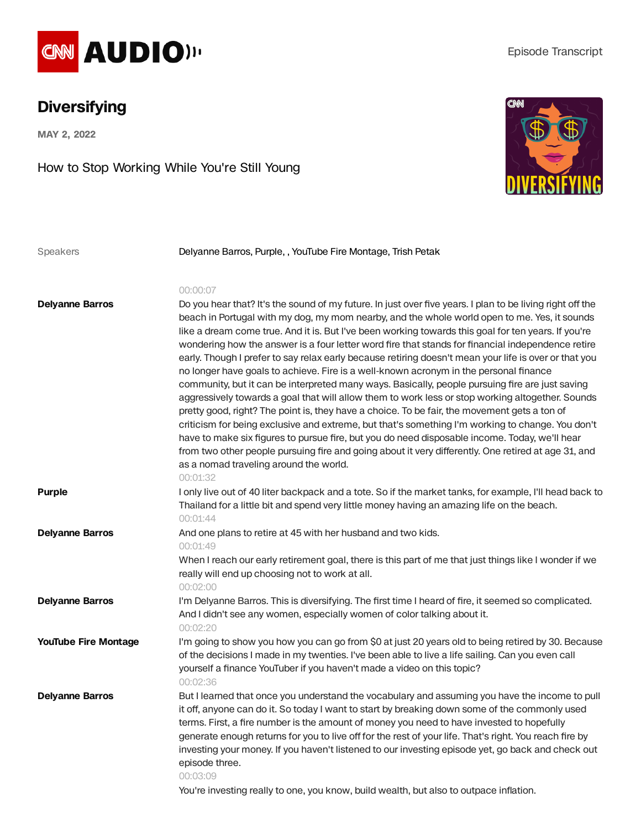

## **Diversifying**

**MAY 2, 2022**

How to Stop Working While You're Still Young



| Speakers                    | Delyanne Barros, Purple,, YouTube Fire Montage, Trish Petak                                                                                                                                                                                                                                                                                                                                                                                                                                                                                                                                                                                                                                                                                                                                                                                                                                                                                                                                                                                                                                                                                                                                                                                                                                                  |
|-----------------------------|--------------------------------------------------------------------------------------------------------------------------------------------------------------------------------------------------------------------------------------------------------------------------------------------------------------------------------------------------------------------------------------------------------------------------------------------------------------------------------------------------------------------------------------------------------------------------------------------------------------------------------------------------------------------------------------------------------------------------------------------------------------------------------------------------------------------------------------------------------------------------------------------------------------------------------------------------------------------------------------------------------------------------------------------------------------------------------------------------------------------------------------------------------------------------------------------------------------------------------------------------------------------------------------------------------------|
|                             |                                                                                                                                                                                                                                                                                                                                                                                                                                                                                                                                                                                                                                                                                                                                                                                                                                                                                                                                                                                                                                                                                                                                                                                                                                                                                                              |
| <b>Delyanne Barros</b>      | 00:00:07<br>Do you hear that? It's the sound of my future. In just over five years. I plan to be living right off the<br>beach in Portugal with my dog, my mom nearby, and the whole world open to me. Yes, it sounds<br>like a dream come true. And it is. But I've been working towards this goal for ten years. If you're<br>wondering how the answer is a four letter word fire that stands for financial independence retire<br>early. Though I prefer to say relax early because retiring doesn't mean your life is over or that you<br>no longer have goals to achieve. Fire is a well-known acronym in the personal finance<br>community, but it can be interpreted many ways. Basically, people pursuing fire are just saving<br>aggressively towards a goal that will allow them to work less or stop working altogether. Sounds<br>pretty good, right? The point is, they have a choice. To be fair, the movement gets a ton of<br>criticism for being exclusive and extreme, but that's something I'm working to change. You don't<br>have to make six figures to pursue fire, but you do need disposable income. Today, we'll hear<br>from two other people pursuing fire and going about it very differently. One retired at age 31, and<br>as a nomad traveling around the world.<br>00:01:32 |
| <b>Purple</b>               | I only live out of 40 liter backpack and a tote. So if the market tanks, for example, I'll head back to<br>Thailand for a little bit and spend very little money having an amazing life on the beach.<br>00:01:44                                                                                                                                                                                                                                                                                                                                                                                                                                                                                                                                                                                                                                                                                                                                                                                                                                                                                                                                                                                                                                                                                            |
| <b>Delyanne Barros</b>      | And one plans to retire at 45 with her husband and two kids.<br>00:01:49<br>When I reach our early retirement goal, there is this part of me that just things like I wonder if we<br>really will end up choosing not to work at all.<br>00:02:00                                                                                                                                                                                                                                                                                                                                                                                                                                                                                                                                                                                                                                                                                                                                                                                                                                                                                                                                                                                                                                                             |
| <b>Delyanne Barros</b>      | I'm Delyanne Barros. This is diversifying. The first time I heard of fire, it seemed so complicated.<br>And I didn't see any women, especially women of color talking about it.<br>00:02:20                                                                                                                                                                                                                                                                                                                                                                                                                                                                                                                                                                                                                                                                                                                                                                                                                                                                                                                                                                                                                                                                                                                  |
| <b>YouTube Fire Montage</b> | I'm going to show you how you can go from \$0 at just 20 years old to being retired by 30. Because<br>of the decisions I made in my twenties. I've been able to live a life sailing. Can you even call<br>yourself a finance YouTuber if you haven't made a video on this topic?<br>00:02:36                                                                                                                                                                                                                                                                                                                                                                                                                                                                                                                                                                                                                                                                                                                                                                                                                                                                                                                                                                                                                 |
| <b>Delyanne Barros</b>      | But I learned that once you understand the vocabulary and assuming you have the income to pull<br>it off, anyone can do it. So today I want to start by breaking down some of the commonly used<br>terms. First, a fire number is the amount of money you need to have invested to hopefully<br>generate enough returns for you to live off for the rest of your life. That's right. You reach fire by<br>investing your money. If you haven't listened to our investing episode yet, go back and check out<br>episode three.<br>00:03:09                                                                                                                                                                                                                                                                                                                                                                                                                                                                                                                                                                                                                                                                                                                                                                    |

You're investing really to one, you know, build wealth, but also to outpace inflation.

## Episode Transcript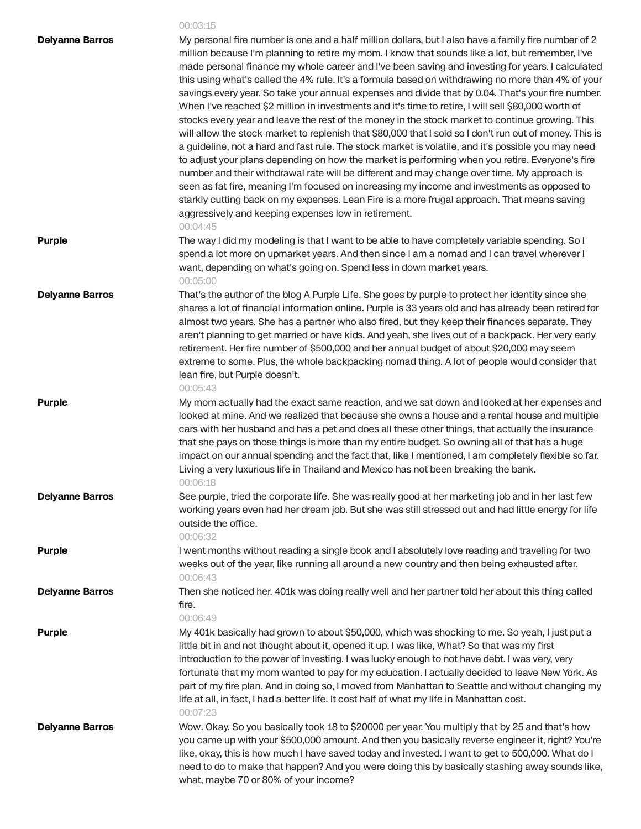## 00:03:15

| <b>Delyanne Barros</b> | My personal fire number is one and a half million dollars, but I also have a family fire number of 2<br>million because I'm planning to retire my mom. I know that sounds like a lot, but remember, I've<br>made personal finance my whole career and I've been saving and investing for years. I calculated<br>this using what's called the 4% rule. It's a formula based on withdrawing no more than 4% of your<br>savings every year. So take your annual expenses and divide that by 0.04. That's your fire number.<br>When I've reached \$2 million in investments and it's time to retire, I will sell \$80,000 worth of<br>stocks every year and leave the rest of the money in the stock market to continue growing. This<br>will allow the stock market to replenish that \$80,000 that I sold so I don't run out of money. This is<br>a guideline, not a hard and fast rule. The stock market is volatile, and it's possible you may need<br>to adjust your plans depending on how the market is performing when you retire. Everyone's fire<br>number and their withdrawal rate will be different and may change over time. My approach is<br>seen as fat fire, meaning I'm focused on increasing my income and investments as opposed to<br>starkly cutting back on my expenses. Lean Fire is a more frugal approach. That means saving<br>aggressively and keeping expenses low in retirement.<br>00:04:45 |
|------------------------|-------------------------------------------------------------------------------------------------------------------------------------------------------------------------------------------------------------------------------------------------------------------------------------------------------------------------------------------------------------------------------------------------------------------------------------------------------------------------------------------------------------------------------------------------------------------------------------------------------------------------------------------------------------------------------------------------------------------------------------------------------------------------------------------------------------------------------------------------------------------------------------------------------------------------------------------------------------------------------------------------------------------------------------------------------------------------------------------------------------------------------------------------------------------------------------------------------------------------------------------------------------------------------------------------------------------------------------------------------------------------------------------------------------------------|
| <b>Purple</b>          | The way I did my modeling is that I want to be able to have completely variable spending. So I<br>spend a lot more on upmarket years. And then since I am a nomad and I can travel wherever I<br>want, depending on what's going on. Spend less in down market years.<br>00:05:00                                                                                                                                                                                                                                                                                                                                                                                                                                                                                                                                                                                                                                                                                                                                                                                                                                                                                                                                                                                                                                                                                                                                       |
| <b>Delyanne Barros</b> | That's the author of the blog A Purple Life. She goes by purple to protect her identity since she<br>shares a lot of financial information online. Purple is 33 years old and has already been retired for<br>almost two years. She has a partner who also fired, but they keep their finances separate. They<br>aren't planning to get married or have kids. And yeah, she lives out of a backpack. Her very early<br>retirement. Her fire number of \$500,000 and her annual budget of about \$20,000 may seem<br>extreme to some. Plus, the whole backpacking nomad thing. A lot of people would consider that<br>lean fire, but Purple doesn't.<br>00:05:43                                                                                                                                                                                                                                                                                                                                                                                                                                                                                                                                                                                                                                                                                                                                                         |
| <b>Purple</b>          | My mom actually had the exact same reaction, and we sat down and looked at her expenses and<br>looked at mine. And we realized that because she owns a house and a rental house and multiple<br>cars with her husband and has a pet and does all these other things, that actually the insurance<br>that she pays on those things is more than my entire budget. So owning all of that has a huge<br>impact on our annual spending and the fact that, like I mentioned, I am completely flexible so far.<br>Living a very luxurious life in Thailand and Mexico has not been breaking the bank.<br>00:06:18                                                                                                                                                                                                                                                                                                                                                                                                                                                                                                                                                                                                                                                                                                                                                                                                             |
| <b>Delyanne Barros</b> | See purple, tried the corporate life. She was really good at her marketing job and in her last few<br>working years even had her dream job. But she was still stressed out and had little energy for life<br>outside the office.<br>00:06:32                                                                                                                                                                                                                                                                                                                                                                                                                                                                                                                                                                                                                                                                                                                                                                                                                                                                                                                                                                                                                                                                                                                                                                            |
| <b>Purple</b>          | I went months without reading a single book and I absolutely love reading and traveling for two<br>weeks out of the year, like running all around a new country and then being exhausted after.<br>00:06:43                                                                                                                                                                                                                                                                                                                                                                                                                                                                                                                                                                                                                                                                                                                                                                                                                                                                                                                                                                                                                                                                                                                                                                                                             |
| <b>Delyanne Barros</b> | Then she noticed her. 401k was doing really well and her partner told her about this thing called<br>fire.<br>00:06:49                                                                                                                                                                                                                                                                                                                                                                                                                                                                                                                                                                                                                                                                                                                                                                                                                                                                                                                                                                                                                                                                                                                                                                                                                                                                                                  |
| <b>Purple</b>          | My 401k basically had grown to about \$50,000, which was shocking to me. So yeah, I just put a<br>little bit in and not thought about it, opened it up. I was like, What? So that was my first<br>introduction to the power of investing. I was lucky enough to not have debt. I was very, very<br>fortunate that my mom wanted to pay for my education. I actually decided to leave New York. As<br>part of my fire plan. And in doing so, I moved from Manhattan to Seattle and without changing my<br>life at all, in fact, I had a better life. It cost half of what my life in Manhattan cost.<br>00:07:23                                                                                                                                                                                                                                                                                                                                                                                                                                                                                                                                                                                                                                                                                                                                                                                                         |
| <b>Delyanne Barros</b> | Wow. Okay. So you basically took 18 to \$20000 per year. You multiply that by 25 and that's how<br>you came up with your \$500,000 amount. And then you basically reverse engineer it, right? You're<br>like, okay, this is how much I have saved today and invested. I want to get to 500,000. What do I<br>need to do to make that happen? And you were doing this by basically stashing away sounds like,<br>what, maybe 70 or 80% of your income?                                                                                                                                                                                                                                                                                                                                                                                                                                                                                                                                                                                                                                                                                                                                                                                                                                                                                                                                                                   |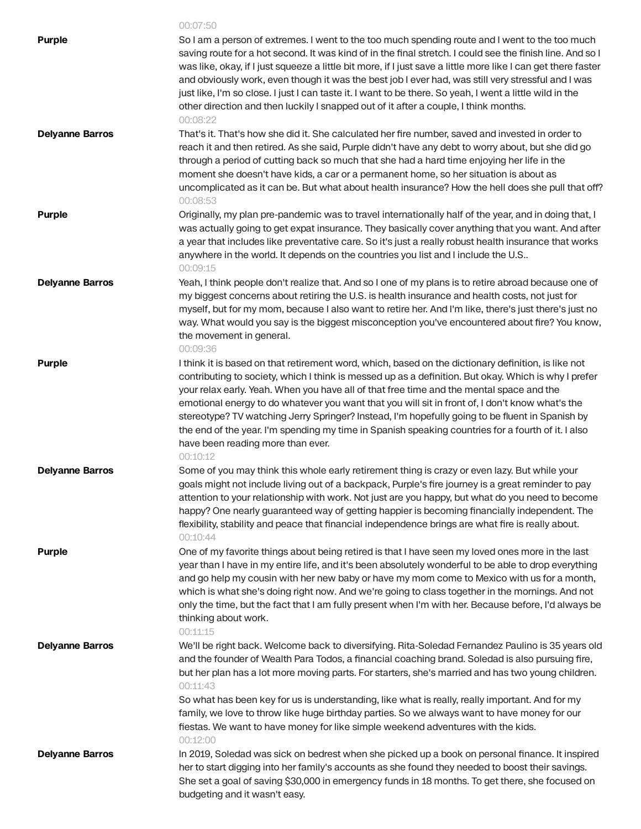|                        | 00:07:50                                                                                                                                                                                                                                                                                                                                                                                                                                                                                                                                                                                                                                                             |
|------------------------|----------------------------------------------------------------------------------------------------------------------------------------------------------------------------------------------------------------------------------------------------------------------------------------------------------------------------------------------------------------------------------------------------------------------------------------------------------------------------------------------------------------------------------------------------------------------------------------------------------------------------------------------------------------------|
| <b>Purple</b>          | So I am a person of extremes. I went to the too much spending route and I went to the too much<br>saving route for a hot second. It was kind of in the final stretch. I could see the finish line. And so I<br>was like, okay, if I just squeeze a little bit more, if I just save a little more like I can get there faster<br>and obviously work, even though it was the best job I ever had, was still very stressful and I was<br>just like, I'm so close. I just I can taste it. I want to be there. So yeah, I went a little wild in the<br>other direction and then luckily I snapped out of it after a couple, I think months.<br>00:08:22                   |
| <b>Delyanne Barros</b> | That's it. That's how she did it. She calculated her fire number, saved and invested in order to<br>reach it and then retired. As she said, Purple didn't have any debt to worry about, but she did go<br>through a period of cutting back so much that she had a hard time enjoying her life in the<br>moment she doesn't have kids, a car or a permanent home, so her situation is about as<br>uncomplicated as it can be. But what about health insurance? How the hell does she pull that off?<br>00:08:53                                                                                                                                                       |
| <b>Purple</b>          | Originally, my plan pre-pandemic was to travel internationally half of the year, and in doing that, I<br>was actually going to get expat insurance. They basically cover anything that you want. And after<br>a year that includes like preventative care. So it's just a really robust health insurance that works<br>anywhere in the world. It depends on the countries you list and I include the U.S<br>00:09:15                                                                                                                                                                                                                                                 |
| <b>Delyanne Barros</b> | Yeah, I think people don't realize that. And so I one of my plans is to retire abroad because one of<br>my biggest concerns about retiring the U.S. is health insurance and health costs, not just for<br>myself, but for my mom, because I also want to retire her. And I'm like, there's just there's just no<br>way. What would you say is the biggest misconception you've encountered about fire? You know,<br>the movement in general.<br>00:09:36                                                                                                                                                                                                             |
| <b>Purple</b>          | I think it is based on that retirement word, which, based on the dictionary definition, is like not<br>contributing to society, which I think is messed up as a definition. But okay. Which is why I prefer<br>your relax early. Yeah. When you have all of that free time and the mental space and the<br>emotional energy to do whatever you want that you will sit in front of, I don't know what's the<br>stereotype? TV watching Jerry Springer? Instead, I'm hopefully going to be fluent in Spanish by<br>the end of the year. I'm spending my time in Spanish speaking countries for a fourth of it. I also<br>have been reading more than ever.<br>00:10:12 |
| <b>Delyanne Barros</b> | Some of you may think this whole early retirement thing is crazy or even lazy. But while your<br>goals might not include living out of a backpack, Purple's fire journey is a great reminder to pay<br>attention to your relationship with work. Not just are you happy, but what do you need to become<br>happy? One nearly guaranteed way of getting happier is becoming financially independent. The<br>flexibility, stability and peace that financial independence brings are what fire is really about.<br>00:10:44                                                                                                                                            |
| <b>Purple</b>          | One of my favorite things about being retired is that I have seen my loved ones more in the last<br>year than I have in my entire life, and it's been absolutely wonderful to be able to drop everything<br>and go help my cousin with her new baby or have my mom come to Mexico with us for a month,<br>which is what she's doing right now. And we're going to class together in the mornings. And not<br>only the time, but the fact that I am fully present when I'm with her. Because before, I'd always be<br>thinking about work.<br>00:11:15                                                                                                                |
| <b>Delyanne Barros</b> | We'll be right back. Welcome back to diversifying. Rita-Soledad Fernandez Paulino is 35 years old<br>and the founder of Wealth Para Todos, a financial coaching brand. Soledad is also pursuing fire,<br>but her plan has a lot more moving parts. For starters, she's married and has two young children.<br>00:11:43<br>So what has been key for us is understanding, like what is really, really important. And for my<br>family, we love to throw like huge birthday parties. So we always want to have money for our<br>fiestas. We want to have money for like simple weekend adventures with the kids.                                                        |
| <b>Delyanne Barros</b> | 00:12:00<br>In 2019, Soledad was sick on bedrest when she picked up a book on personal finance. It inspired<br>her to start digging into her family's accounts as she found they needed to boost their savings.<br>She set a goal of saving \$30,000 in emergency funds in 18 months. To get there, she focused on<br>budgeting and it wasn't easy.                                                                                                                                                                                                                                                                                                                  |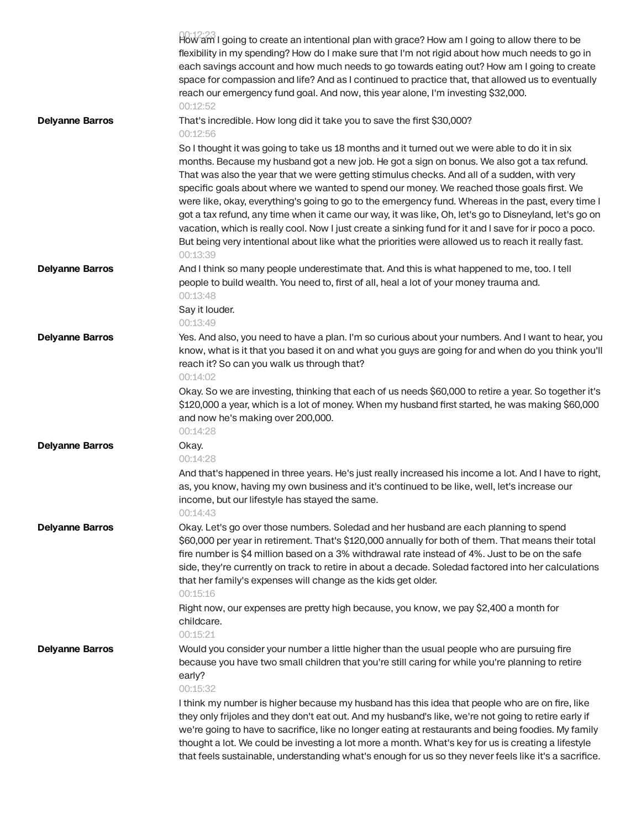|                        | How am I going to create an intentional plan with grace? How am I going to allow there to be<br>flexibility in my spending? How do I make sure that I'm not rigid about how much needs to go in<br>each savings account and how much needs to go towards eating out? How am I going to create<br>space for compassion and life? And as I continued to practice that, that allowed us to eventually<br>reach our emergency fund goal. And now, this year alone, I'm investing \$32,000.<br>00:12:52                                                                                                                                                                                                                                                                                                                                  |
|------------------------|-------------------------------------------------------------------------------------------------------------------------------------------------------------------------------------------------------------------------------------------------------------------------------------------------------------------------------------------------------------------------------------------------------------------------------------------------------------------------------------------------------------------------------------------------------------------------------------------------------------------------------------------------------------------------------------------------------------------------------------------------------------------------------------------------------------------------------------|
| <b>Delyanne Barros</b> | That's incredible. How long did it take you to save the first \$30,000?<br>00:12:56                                                                                                                                                                                                                                                                                                                                                                                                                                                                                                                                                                                                                                                                                                                                                 |
|                        | So I thought it was going to take us 18 months and it turned out we were able to do it in six<br>months. Because my husband got a new job. He got a sign on bonus. We also got a tax refund.<br>That was also the year that we were getting stimulus checks. And all of a sudden, with very<br>specific goals about where we wanted to spend our money. We reached those goals first. We<br>were like, okay, everything's going to go to the emergency fund. Whereas in the past, every time I<br>got a tax refund, any time when it came our way, it was like, Oh, let's go to Disneyland, let's go on<br>vacation, which is really cool. Now I just create a sinking fund for it and I save for ir poco a poco.<br>But being very intentional about like what the priorities were allowed us to reach it really fast.<br>00:13:39 |
| <b>Delyanne Barros</b> | And I think so many people underestimate that. And this is what happened to me, too. I tell<br>people to build wealth. You need to, first of all, heal a lot of your money trauma and.<br>00:13:48<br>Say it louder.<br>00:13:49                                                                                                                                                                                                                                                                                                                                                                                                                                                                                                                                                                                                    |
| <b>Delyanne Barros</b> | Yes. And also, you need to have a plan. I'm so curious about your numbers. And I want to hear, you<br>know, what is it that you based it on and what you guys are going for and when do you think you'll<br>reach it? So can you walk us through that?<br>00:14:02                                                                                                                                                                                                                                                                                                                                                                                                                                                                                                                                                                  |
|                        | Okay. So we are investing, thinking that each of us needs \$60,000 to retire a year. So together it's<br>\$120,000 a year, which is a lot of money. When my husband first started, he was making \$60,000<br>and now he's making over 200,000.<br>00:14:28                                                                                                                                                                                                                                                                                                                                                                                                                                                                                                                                                                          |
| <b>Delyanne Barros</b> | Okay.<br>00:14:28<br>And that's happened in three years. He's just really increased his income a lot. And I have to right,<br>as, you know, having my own business and it's continued to be like, well, let's increase our<br>income, but our lifestyle has stayed the same.<br>00:14:43                                                                                                                                                                                                                                                                                                                                                                                                                                                                                                                                            |
| <b>Delyanne Barros</b> | Okay. Let's go over those numbers. Soledad and her husband are each planning to spend<br>\$60,000 per year in retirement. That's \$120,000 annually for both of them. That means their total<br>fire number is \$4 million based on a 3% withdrawal rate instead of 4%. Just to be on the safe<br>side, they're currently on track to retire in about a decade. Soledad factored into her calculations<br>that her family's expenses will change as the kids get older.<br>00:15:16                                                                                                                                                                                                                                                                                                                                                 |
|                        | Right now, our expenses are pretty high because, you know, we pay \$2,400 a month for<br>childcare.<br>00:15:21                                                                                                                                                                                                                                                                                                                                                                                                                                                                                                                                                                                                                                                                                                                     |
| <b>Delyanne Barros</b> | Would you consider your number a little higher than the usual people who are pursuing fire<br>because you have two small children that you're still caring for while you're planning to retire<br>early?<br>00:15:32                                                                                                                                                                                                                                                                                                                                                                                                                                                                                                                                                                                                                |
|                        | I think my number is higher because my husband has this idea that people who are on fire, like<br>they only frijoles and they don't eat out. And my husband's like, we're not going to retire early if<br>we're going to have to sacrifice, like no longer eating at restaurants and being foodies. My family<br>thought a lot. We could be investing a lot more a month. What's key for us is creating a lifestyle<br>that feels sustainable, understanding what's enough for us so they never feels like it's a sacrifice.                                                                                                                                                                                                                                                                                                        |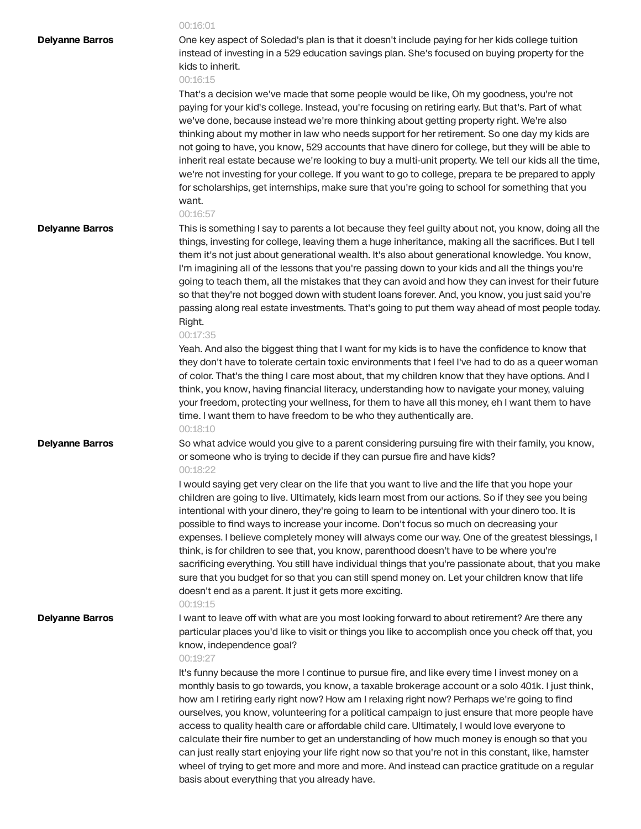|                        | 00:16:01                                                                                                                                                                                                                                                                                                                                                                                                                                                                                                                                                                                                                                                                                                                                                                                                                                                                              |
|------------------------|---------------------------------------------------------------------------------------------------------------------------------------------------------------------------------------------------------------------------------------------------------------------------------------------------------------------------------------------------------------------------------------------------------------------------------------------------------------------------------------------------------------------------------------------------------------------------------------------------------------------------------------------------------------------------------------------------------------------------------------------------------------------------------------------------------------------------------------------------------------------------------------|
| <b>Delyanne Barros</b> | One key aspect of Soledad's plan is that it doesn't include paying for her kids college tuition<br>instead of investing in a 529 education savings plan. She's focused on buying property for the<br>kids to inherit.<br>00:16:15                                                                                                                                                                                                                                                                                                                                                                                                                                                                                                                                                                                                                                                     |
|                        | That's a decision we've made that some people would be like, Oh my goodness, you're not<br>paying for your kid's college. Instead, you're focusing on retiring early. But that's. Part of what<br>we've done, because instead we're more thinking about getting property right. We're also<br>thinking about my mother in law who needs support for her retirement. So one day my kids are<br>not going to have, you know, 529 accounts that have dinero for college, but they will be able to<br>inherit real estate because we're looking to buy a multi-unit property. We tell our kids all the time,<br>we're not investing for your college. If you want to go to college, prepara te be prepared to apply<br>for scholarships, get internships, make sure that you're going to school for something that you<br>want.<br>00:16:57                                               |
| <b>Delyanne Barros</b> | This is something I say to parents a lot because they feel guilty about not, you know, doing all the<br>things, investing for college, leaving them a huge inheritance, making all the sacrifices. But I tell<br>them it's not just about generational wealth. It's also about generational knowledge. You know,<br>I'm imagining all of the lessons that you're passing down to your kids and all the things you're<br>going to teach them, all the mistakes that they can avoid and how they can invest for their future<br>so that they're not bogged down with student loans forever. And, you know, you just said you're<br>passing along real estate investments. That's going to put them way ahead of most people today.<br>Right.<br>00:17:35                                                                                                                                |
|                        | Yeah. And also the biggest thing that I want for my kids is to have the confidence to know that<br>they don't have to tolerate certain toxic environments that I feel I've had to do as a queer woman<br>of color. That's the thing I care most about, that my children know that they have options. And I<br>think, you know, having financial literacy, understanding how to navigate your money, valuing<br>your freedom, protecting your wellness, for them to have all this money, eh I want them to have<br>time. I want them to have freedom to be who they authentically are.<br>00:18:10                                                                                                                                                                                                                                                                                     |
| <b>Delyanne Barros</b> | So what advice would you give to a parent considering pursuing fire with their family, you know,<br>or someone who is trying to decide if they can pursue fire and have kids?<br>00:18:22                                                                                                                                                                                                                                                                                                                                                                                                                                                                                                                                                                                                                                                                                             |
|                        | I would saying get very clear on the life that you want to live and the life that you hope your<br>children are going to live. Ultimately, kids learn most from our actions. So if they see you being<br>intentional with your dinero, they're going to learn to be intentional with your dinero too. It is<br>possible to find ways to increase your income. Don't focus so much on decreasing your<br>expenses. I believe completely money will always come our way. One of the greatest blessings, I<br>think, is for children to see that, you know, parenthood doesn't have to be where you're<br>sacrificing everything. You still have individual things that you're passionate about, that you make<br>sure that you budget for so that you can still spend money on. Let your children know that life<br>doesn't end as a parent. It just it gets more exciting.<br>00:19:15 |
| <b>Delyanne Barros</b> | I want to leave off with what are you most looking forward to about retirement? Are there any<br>particular places you'd like to visit or things you like to accomplish once you check off that, you<br>know, independence goal?<br>00:19:27                                                                                                                                                                                                                                                                                                                                                                                                                                                                                                                                                                                                                                          |
|                        | It's funny because the more I continue to pursue fire, and like every time I invest money on a<br>monthly basis to go towards, you know, a taxable brokerage account or a solo 401k. I just think,<br>how am I retiring early right now? How am I relaxing right now? Perhaps we're going to find<br>ourselves, you know, volunteering for a political campaign to just ensure that more people have<br>access to quality health care or affordable child care. Ultimately, I would love everyone to<br>calculate their fire number to get an understanding of how much money is enough so that you<br>can just really start enjoying your life right now so that you're not in this constant, like, hamster<br>wheel of trying to get more and more and more. And instead can practice gratitude on a regular<br>basis about everything that you already have.                       |